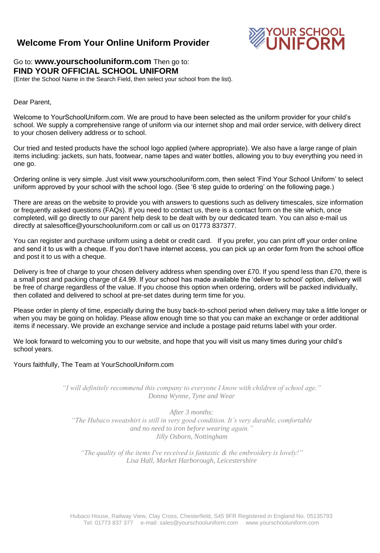## **Welcome From Your Online Uniform Provider**



### Go to: **www.yourschooluniform.com** Then go to: **FIND YOUR OFFICIAL SCHOOL UNIFORM**

(Enter the School Name in the Search Field, then select your school from the list).

#### Dear Parent,

Welcome to YourSchoolUniform.com. We are proud to have been selected as the uniform provider for your child's school. We supply a comprehensive range of uniform via our internet shop and mail order service, with delivery direct to your chosen delivery address or to school.

Our tried and tested products have the school logo applied (where appropriate). We also have a large range of plain items including: jackets, sun hats, footwear, name tapes and water bottles, allowing you to buy everything you need in one go.

Ordering online is very simple. Just visit www.yourschooluniform.com, then select 'Find Your School Uniform' to select uniform approved by your school with the school logo. (See '6 step guide to ordering' on the following page.)

There are areas on the website to provide you with answers to questions such as delivery timescales, size information or frequently asked questions (FAQs). If you need to contact us, there is a contact form on the site which, once completed, will go directly to our parent help desk to be dealt with by our dedicated team. You can also e-mail us directly at salesoffice@yourschooluniform.com or call us on 01773 837377.

You can register and purchase uniform using a debit or credit card. If you prefer, you can print off your order online and send it to us with a cheque. If you don't have internet access, you can pick up an order form from the school office and post it to us with a cheque.

Delivery is free of charge to your chosen delivery address when spending over £70. If you spend less than £70, there is a small post and packing charge of £4.99. If your school has made available the 'deliver to school' option, delivery will be free of charge regardless of the value. If you choose this option when ordering, orders will be packed individually, then collated and delivered to school at pre-set dates during term time for you.

Please order in plenty of time, especially during the busy back-to-school period when delivery may take a little longer or when you may be going on holiday. Please allow enough time so that you can make an exchange or order additional items if necessary. We provide an exchange service and include a postage paid returns label with your order.

We look forward to welcoming you to our website, and hope that you will visit us many times during your child's school years.

#### Yours faithfully, The Team at YourSchoolUniform.com

*"I will definitely recommend this company to everyone I know with children of school age." Donna Wynne, Tyne and Wear*

*After 3 months: "The Hubaco sweatshirt is still in very good condition. It's very durable, comfortable and no need to iron before wearing again." Jilly Osborn, Nottingham*

*"The quality of the items I've received is fantastic & the embroidery is lovely!" Lisa Hall, Market Harborough, Leicestershire*